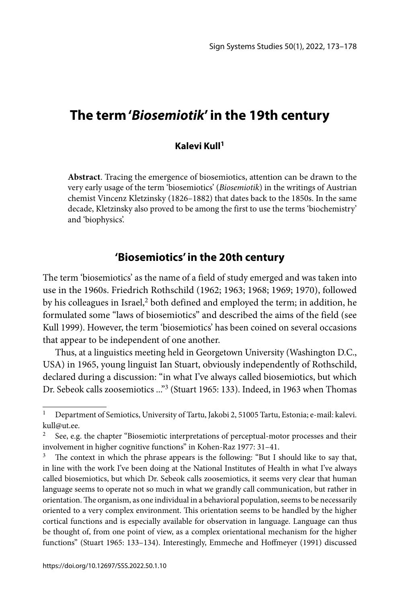# **The term '***Biosemiotik***' in the 19th century**

#### **Kalevi Kull1**

**Abstract**. Tracing the emergence of biosemiotics, attention can be drawn to the very early usage of the term 'biosemiotics' (*Biosemiotik*) in the writings of Austrian chemist Vincenz Kletzinsky (1826–1882) that dates back to the 1850s. In the same decade, Kletzinsky also proved to be among the first to use the terms 'biochemistry' and 'biophysics'.

### **'Biosemiotics' in the 20th century**

The term 'biosemiotics' as the name of a field of study emerged and was taken into use in the 1960s. Friedrich Rothschild (1962; 1963; 1968; 1969; 1970), followed by his colleagues in Israel,<sup>2</sup> both defined and employed the term; in addition, he formulated some "laws of biosemiotics" and described the aims of the field (see Kull 1999). However, the term 'biosemiotics' has been coined on several occasions that appear to be independent of one another.

Thus, at a linguistics meeting held in Georgetown University (Washington D.C., USA) in 1965, young linguist Ian Stuart, obviously independently of Rothschild, declared during a discussion: "in what I've always called biosemiotics, but which Dr. Sebeok calls zoosemiotics ..."3 (Stuart 1965: 133). Indeed, in 1963 when Thomas

<sup>1</sup> Department of Semiotics, University of Tartu, Jakobi 2, 51005 Tartu, Estonia; e-mail: kalevi. kull@ut.ee.

<sup>&</sup>lt;sup>2</sup> See, e.g. the chapter "Biosemiotic interpretations of perceptual-motor processes and their involvement in higher cognitive functions" in Kohen-Raz 1977: 31–41.

 $3$  The context in which the phrase appears is the following: "But I should like to say that, in line with the work I've been doing at the National Institutes of Health in what I've always called biosemiotics, but which Dr. Sebeok calls zoosemiotics, it seems very clear that human language seems to operate not so much in what we grandly call communication, but rather in orientation. The organism, as one individual in a behavioral population, seems to be necessarily oriented to a very complex environment. This orientation seems to be handled by the higher cortical functions and is especially available for observation in language. Language can thus be thought of, from one point of view, as a complex orientational mechanism for the higher functions" (Stuart 1965: 133-134). Interestingly, Emmeche and Hoffmeyer (1991) discussed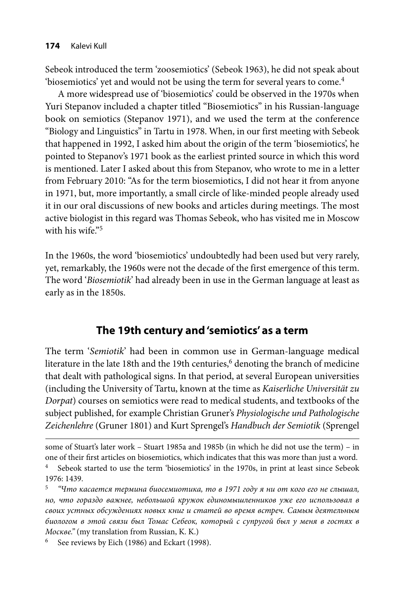Sebeok introduced the term 'zoosemiotics' (Sebeok 1963), he did not speak about 'biosemiotics' yet and would not be using the term for several years to come.<sup>4</sup>

A more widespread use of 'biosemiotics' could be observed in the 1970s when Yuri Stepanov included a chapter titled "Biosemiotics" in his Russian-language book on semiotics (Stepanov 1971), and we used the term at the conference "Biology and Linguistics" in Tartu in 1978. When, in our first meeting with Sebeok that happened in 1992, I asked him about the origin of the term 'biosemiotics', he pointed to Stepanov's 1971 book as the earliest printed source in which this word is mentioned. Later I asked about this from Stepanov, who wrote to me in a letter from February 2010: "As for the term biosemiotics, I did not hear it from anyone in 1971, but, more importantly, a small circle of like-minded people already used it in our oral discussions of new books and articles during meetings. The most active biologist in this regard was Thomas Sebeok, who has visited me in Moscow with his wife $.5$ 

In the 1960s, the word 'biosemiotics' undoubtedly had been used but very rarely, yet, remarkably, the 1960s were not the decade of the first emergence of this term. The word '*Biosemiotik*' had already been in use in the German language at least as early as in the 1850s.

## **The 19th century and 'semiotics' as a term**

The term '*Semiotik*' had been in common use in German-language medical literature in the late 18th and the 19th centuries,<sup>6</sup> denoting the branch of medicine that dealt with pathological signs. In that period, at several European universities (including the University of Tartu, known at the time as *Kaiserliche Universität zu Dorpat*) courses on semiotics were read to medical students, and textbooks of the subject published, for example Christian Gruner's *Physiologische und Pathologische Zeichenlehre* (Gruner 1801) and Kurt Sprengel's *Handbuch der Semiotik* (Sprengel

some of Stuart's later work – Stuart 1985a and 1985b (in which he did not use the term) – in one of their first articles on biosemiotics, which indicates that this was more than just a word.

<sup>4</sup> Sebeok started to use the term 'biosemiotics' in the 1970s, in print at least since Sebeok 1976: 1439.

<sup>5</sup>*"Что касается термина биосемиотика, то в 1971 году я ни от кого его не слышал, но, что гораздо важнее, небольшой кружок единомышленников уже его использовал в своих устных обсуждениях новых книг и статей во время встреч. Самым деятельным биологом в этой связи был Томас Себеок, который с супругой был у меня в гостях в Москве."* (my translation from Russian, K. K.)

<sup>6</sup> See reviews by Eich (1986) and Eckart (1998).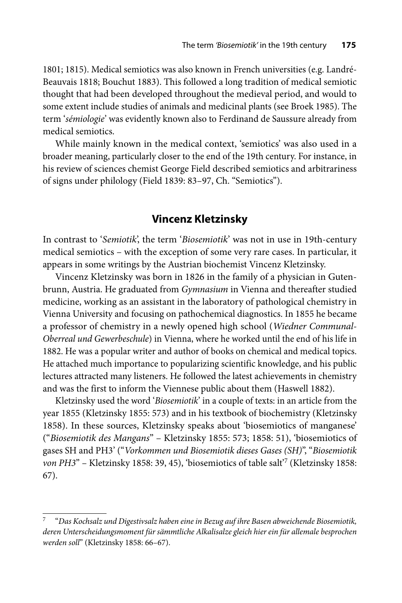1801; 1815). Medical semiotics was also known in French universities (e.g. Landré-Beauvais 1818; Bouchut 1883). This followed a long tradition of medical semiotic thought that had been developed throughout the medieval period, and would to some extent include studies of animals and medicinal plants (see Broek 1985). The term '*sémiologie*' was evidently known also to Ferdinand de Saussure already from medical semiotics.

While mainly known in the medical context, 'semiotics' was also used in a broader meaning, particularly closer to the end of the 19th century. For instance, in his review of sciences chemist George Field described semiotics and arbitrariness of signs under philology (Field 1839: 83–97, Ch. "Semiotics").

### **Vincenz Kletzinsky**

In contrast to '*Semiotik*', the term '*Biosemiotik*' was not in use in 19th-century medical semiotics – with the exception of some very rare cases. In particular, it appears in some writings by the Austrian biochemist Vincenz Kletzinsky.

Vincenz Kletzinsky was born in 1826 in the family of a physician in Gutenbrunn, Austria. He graduated from *Gymnasium* in Vienna and thereafter studied medicine, working as an assistant in the laboratory of pathological chemistry in Vienna University and focusing on pathochemical diagnostics. In 1855 he became a professor of chemistry in a newly opened high school (*Wiedner Communal-Oberreal und Gewerbeschule*) in Vienna, where he worked until the end of his life in 1882. He was a popular writer and author of books on chemical and medical topics. He attached much importance to popularizing scientific knowledge, and his public lectures attracted many listeners. He followed the latest achievements in chemistry and was the first to inform the Viennese public about them (Haswell 1882).

Kletzinsky used the word '*Biosemiotik*' in a couple of texts: in an article from the year 1855 (Kletzinsky 1855: 573) and in his textbook of biochemistry (Kletzinsky 1858). In these sources, Kletzinsky speaks about 'biosemiotics of manganese' ("*Biosemiotik des Mangans*" – Kletzinsky 1855: 573; 1858: 51), 'biosemiotics of gases SH and PH3' ("*Vorkommen und Biosemiotik dieses Gases (SH)*", "*Biosemiotik von PH3*" – Kletzinsky 1858: 39, 45), 'biosemiotics of table salt'7 (Kletzinsky 1858: 67).

<sup>7 &</sup>quot;*Das Kochsalz und Digestivsalz haben eine in Bezug auf ihre Basen abweichende Biosemiotik, deren Unterscheidungsmoment für sämmtliche Alkalisalze gleich hier ein für allemale besprochen werden soll*" (Kletzinsky 1858: 66–67).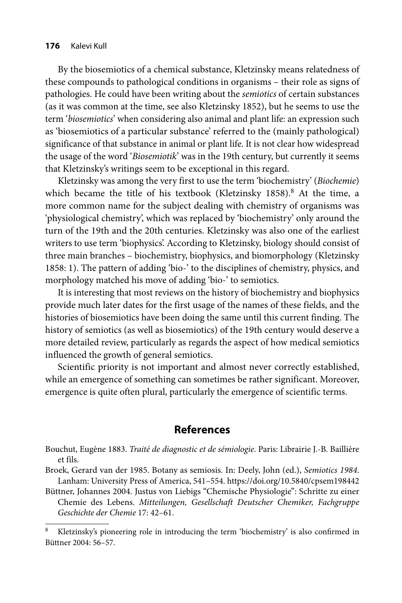By the biosemiotics of a chemical substance, Kletzinsky means relatedness of these compounds to pathological conditions in organisms – their role as signs of pathologies. He could have been writing about the *semiotics* of certain substances (as it was common at the time, see also Kletzinsky 1852), but he seems to use the term '*biosemiotics*' when considering also animal and plant life: an expression such as 'biosemiotics of a particular substance' referred to the (mainly pathological) significance of that substance in animal or plant life. It is not clear how widespread the usage of the word '*Biosemiotik*' was in the 19th century, but currently it seems that Kletzinsky's writings seem to be exceptional in this regard.

Kletzinsky was among the very first to use the term 'biochemistry' (*Biochemie*) which became the title of his textbook (Kletzinsky 1858).<sup>8</sup> At the time, a more common name for the subject dealing with chemistry of organisms was 'physiological chemistry', which was replaced by 'biochemistry' only around the turn of the 19th and the 20th centuries. Kletzinsky was also one of the earliest writers to use term 'biophysics'. According to Kletzinsky, biology should consist of three main branches – biochemistry, biophysics, and biomorphology (Kletzinsky 1858: 1). The pattern of adding 'bio-' to the disciplines of chemistry, physics, and morphology matched his move of adding 'bio-' to semiotics.

It is interesting that most reviews on the history of biochemistry and biophysics provide much later dates for the first usage of the names of these fields, and the histories of biosemiotics have been doing the same until this current finding. The history of semiotics (as well as biosemiotics) of the 19th century would deserve a more detailed review, particularly as regards the aspect of how medical semiotics influenced the growth of general semiotics.

Scientific priority is not important and almost never correctly established, while an emergence of something can sometimes be rather significant. Moreover, emergence is quite often plural, particularly the emergence of scientific terms.

### **References**

Bouchut, Eugène 1883. *Traité de diagnostic et de sémiologie*. Paris: Librairie J.-B. Baillière et fils.

Broek, Gerard van der 1985. Botany as semiosis. In: Deely, John (ed.), *Semiotics 1984*. Lanham: University Press of America, 541–554. https://doi.org/10.5840/cpsem198442

Büttner, Johannes 2004. Justus von Liebigs "Chemische Physiologie": Schritte zu einer Chemie des Lebens. *Mitteilungen, Gesellschaft Deutscher Chemiker, Fachgruppe Geschichte der Chemie* 17: 42–61.

Kletzinsky's pioneering role in introducing the term 'biochemistry' is also confirmed in Büttner 2004: 56–57.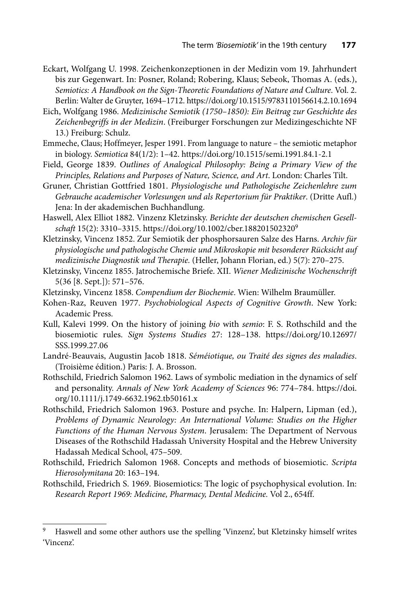- Eckart, Wolfgang U. 1998. Zeichenkonzeptionen in der Medizin vom 19. Jahrhundert bis zur Gegenwart. In: Posner, Roland; Robering, Klaus; Sebeok, Thomas A. (eds.), *Semiotics: A Handbook on the Sign-Theoretic Foundations of Nature and Culture*. Vol. 2. Berlin: Walter de Gruyter, 1694–1712. https://doi.org/10.1515/9783110156614.2.10.1694
- Eich, Wolfgang 1986. *Medizinische Semiotik (1750–1850): Ein Beitrag zur Geschichte des Zeichenbegriffs in der Medizin*. (Freiburger Forschungen zur Medizingeschichte NF 13.) Freiburg: Schulz.
- Emmeche, Claus; Hoffmeyer, Jesper 1991. From language to nature the semiotic metaphor in biology. *Semiotica* 84(1/2): 1–42. https://doi.org/10.1515/semi.1991.84.1-2.1
- Field, George 1839. *Outlines of Analogical Philosophy: Being a Primary View of the Principles, Relations and Purposes of Nature, Science, and Art*. London: Charles Tilt.
- Gruner, Christian Gottfried 1801. *Physiologische und Pathologische Zeichenlehre zum Gebrauche academischer Vorlesungen und als Repertorium für Praktiker*. (Dritte Aufl.) Jena: In der akademischen Buchhandlung.
- Haswell, Alex Elliot 1882. Vinzenz Kletzinsky. *Berichte der deutschen chemischen Gesellschaft* 15(2): 3310–3315.<https://doi.org/10.1002/cber.188201502320><sup>9</sup>
- Kletzinsky, Vincenz 1852. Zur Semiotik der phosphorsauren Salze des Harns. *Archiv für physiologische und pathologische Chemie und Mikroskopie mit besonderer Rücksicht auf medizinische Diagnostik und Therapie.* (Heller, Johann Florian, ed.) 5(7): 270–275.
- Kletzinsky, Vincenz 1855. Jatrochemische Briefe. XII. *Wiener Medizinische Wochenschrift* 5(36 [8. Sept.]): 571–576.
- Kletzinsky, Vincenz 1858. *Compendium der Biochemie*. Wien: Wilhelm Braumüller.
- Kohen-Raz, Reuven 1977. *Psychobiological Aspects of Cognitive Growth*. New York: Academic Press.
- Kull, Kalevi 1999. On the history of joining *bio* with *semio*: F. S. Rothschild and the biosemiotic rules. *Sign Systems Studies* [27: 128–138. https://doi.org/10.12697/](https://doi.org/10.12697/SSS.1999.27.06) SSS.1999.27.06
- Landré-Beauvais, Augustin Jacob 1818. *Séméiotique, ou Traité des signes des maladies*. (Troisième édition.) Paris: J. A. Brosson.
- Rothschild, Friedrich Salomon 1962. Laws of symbolic mediation in the dynamics of self and personality. *[Annals of New York Academy of Sciences](https://doi.org/10.1111/j.1749-6632.1962.tb50161.x)* 96: 774–784. https://doi. org/10.1111/j.1749-6632.1962.tb50161.x
- Rothschild, Friedrich Salomon 1963. Posture and psyche. In: Halpern, Lipman (ed.), *Problems of Dynamic Neurology: An International Volume: Studies on the Higher Functions of the Human Nervous System*. Jerusalem: The Department of Nervous Diseases of the Rothschild Hadassah University Hospital and the Hebrew University Hadassah Medical School, 475–509.
- Rothschild, Friedrich Salomon 1968. Concepts and methods of biosemiotic. *Scripta Hierosolymitana* 20: 163–194.
- Rothschild, Friedrich S. 1969. Biosemiotics: The logic of psychophysical evolution. In: *Research Report 1969: Medicine, Pharmacy, Dental Medicine.* Vol 2., 654ff.

<sup>9</sup> Haswell and some other authors use the spelling 'Vinzenz', but Kletzinsky himself writes 'Vincenz'.